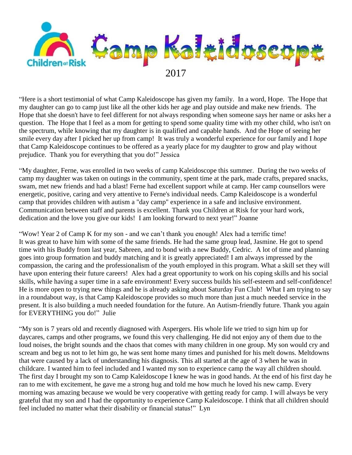

"Here is a short testimonial of what Camp Kaleidoscope has given my family. In a word, Hope. The Hope that my daughter can go to camp just like all the other kids her age and play outside and make new friends. The Hope that she doesn't have to feel different for not always responding when someone says her name or asks her a question. The Hope that I feel as a mom for getting to spend some quality time with my other child, who isn't on the spectrum, while knowing that my daughter is in qualified and capable hands. And the Hope of seeing her smile every day after I picked her up from camp! It was truly a wonderful experience for our family and I *hope*  that Camp Kaleidoscope continues to be offered as a yearly place for my daughter to grow and play without prejudice. Thank you for everything that you do!" Jessica

"My daughter, Ferne, was enrolled in two weeks of camp Kaleidoscope this summer. During the two weeks of camp my daughter was taken on outings in the community, spent time at the park, made crafts, prepared snacks, swam, met new friends and had a blast! Ferne had excellent support while at camp. Her camp counsellors were energetic, positive, caring and very attentive to Ferne's individual needs. Camp Kaleidoscope is a wonderful camp that provides children with autism a "day camp" experience in a safe and inclusive environment. Communication between staff and parents is excellent. Thank you Children at Risk for your hard work, dedication and the love you give our kids! I am looking forward to next year!" Joanne

"Wow! Year 2 of Camp K for my son - and we can't thank you enough! Alex had a terrific time! It was great to have him with some of the same friends. He had the same group lead, Jasmine. He got to spend time with his Buddy from last year, Sabreen, and to bond with a new Buddy, Cedric. A lot of time and planning goes into group formation and buddy matching and it is greatly appreciated! I am always impressed by the compassion, the caring and the professionalism of the youth employed in this program. What a skill set they will have upon entering their future careers! Alex had a great opportunity to work on his coping skills and his social skills, while having a super time in a safe environment! Every success builds his self-esteem and self-confidence! He is more open to trying new things and he is already asking about Saturday Fun Club! What I am trying to say in a roundabout way, is that Camp Kaleidoscope provides so much more than just a much needed service in the present. It is also building a much needed foundation for the future. An Autism-friendly future. Thank you again for EVERYTHING you do!" Julie

"My son is 7 years old and recently diagnosed with Aspergers. His whole life we tried to sign him up for daycares, camps and other programs, we found this very challenging. He did not enjoy any of them due to the loud noises, the bright sounds and the chaos that comes with many children in one group. My son would cry and scream and beg us not to let him go, he was sent home many times and punished for his melt downs. Meltdowns that were caused by a lack of understanding his diagnosis. This all started at the age of 3 when he was in childcare. I wanted him to feel included and I wanted my son to experience camp the way all children should. The first day I brought my son to Camp Kaleidoscope I knew he was in good hands. At the end of his first day he ran to me with excitement, he gave me a strong hug and told me how much he loved his new camp. Every morning was amazing because we would be very cooperative with getting ready for camp. I will always be very grateful that my son and I had the opportunity to experience Camp Kaleidoscope. I think that all children should feel included no matter what their disability or financial status!" Lyn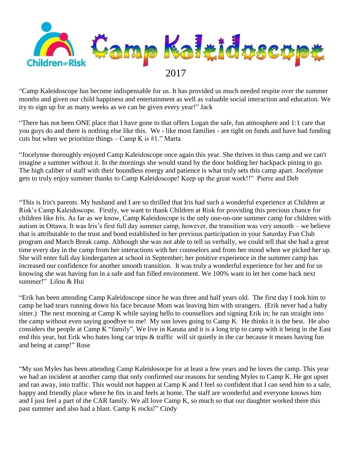

"Camp Kaleidoscope has become indispensable for us. It has provided us much needed respite over the summer months and given our child happiness and entertainment as well as valuable social interaction and education. We try to sign up for as many weeks as we can be given every year!" Jack

"There has not been ONE place that I have gone to that offers Logan the safe, fun atmosphere and 1:1 care that you guys do and there is nothing else like this. We - like most families - are tight on funds and have had funding cuts but when we prioritize things – Camp K is  $#1."$  Marta

"Jocelynne thoroughly enjoyed Camp Kaleidoscope once again this year. She thrives in thus camp and we can't imagine a summer without it. In the mornings she would stand by the door holding her backpack pining to go. The high caliber of staff with their boundless energy and patience is what truly sets this camp apart. Jocelynne gets to truly enjoy summer thanks to Camp Kaleidoscope! Keep up the great work!!" Pierre and Deb

"This is Iris's parents. My husband and I are so thrilled that Iris had such a wonderful experience at Children at Risk's Camp Kaleidoscope. Firstly, we want to thank Children at Risk for providing this precious chance for children like Iris. As far as we know, Camp Kaleidoscope is the only one-on-one summer camp for children with autism in Ottawa. It was Iris's first full day summer camp, however, the transition was very smooth – we believe that is attributable to the trust and bond established in her previous participation in your Saturday Fun Club program and March Break camp. Although she was not able to tell us verbally, we could tell that she had a great time every day in the camp from her interactions with her counselors and from her mood when we picked her up. She will enter full day kindergarten at school in September; her positive experience in the summer camp has increased our confidence for another smooth transition. It was truly a wonderful experience for her and for us knowing she was having fun in a safe and fun filled environment. We 100% want to let her come back next summer!" Lilou & Hui

"Erik has been attending Camp Kaleidoscope since he was three and half years old. The first day I took him to camp he had tears running down his face because Mom was leaving him with strangers. (Erik never had a baby sitter.) The next morning at Camp K while saying hello to counsellors and signing Erik in; he ran straight into the camp without even saying goodbye to me! My son loves going to Camp K. He thinks it is the best. He also considers the people at Camp K "family". We live in Kanata and it is a long trip to camp with it being in the East end this year, but Erik who hates long car trips & traffic will sit quietly in the car because it means having fun and being at camp!" Rose

"My son Myles has been attending Camp Kaleidosocpe for at least a few years and he loves the camp. This year we had an incident at another camp that only confirmed our reasons for sending Myles to Camp K. He got upset and ran away, into traffic. This would not happen at Camp K and I feel so confident that I can send him to a safe, happy and friendly place where he fits in and feels at home. The staff are wonderful and everyone knows him and I just feel a part of the CAR family. We all love Camp K, so much so that our daughter worked there this past summer and also had a blast. Camp K rocks!" Cindy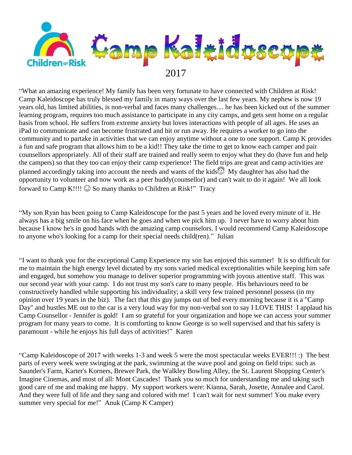

"What an amazing experience! My family has been very fortunate to have connected with Children at Risk! Camp Kaleidoscope has truly blessed my family in many ways over the last few years. My nephew is now 19 years old, has limited abilities, is non-verbal and faces many challenges.... he has been kicked out of the summer learning program, requires too much assistance to participate in any city camps, and gets sent home on a regular basis from school. He suffers from extreme anxiety but loves interactions with people of all ages. He uses an iPad to communicate and can become frustrated and hit or run away. He requires a worker to go into the community and to partake in activities that we can enjoy anytime without a one to one support. Camp K provides a fun and safe program that allows him to be a kid!! They take the time to get to know each camper and pair counsellors appropriately. All of their staff are trained and really seem to enjoy what they do (have fun and help the campers) so that they too can enjoy their camp experience! The field trips are great and camp activities are planned accordingly taking into account the needs and wants of the kids $\mathbb{C}$  My daughter has also had the opportunity to volunteer and now work as a peer buddy(counsellor) and can't wait to do it again! We all look forward to Camp K!!!!  $\odot$  So many thanks to Children at Risk!" Tracy

"My son Ryan has been going to Camp Kaleidoscope for the past 5 years and he loved every minute of it. He always has a big smile on his face when he goes and when we pick him up. I never have to worry about him because I know he's in good hands with the amazing camp counselors. I would recommend Camp Kaleidoscope to anyone who's looking for a camp for their special needs child(ren)." Julian

"I want to thank you for the exceptional Camp Experience my son has enjoyed this summer! It is so difficult for me to maintain the high energy level dictated by my sons varied medical exceptionalities while keeping him safe and engaged, but somehow you manage to deliver superior programming with joyous attentive staff. This was our second year with your camp. I do not trust my son's care to many people. His behaviours need to be constructively handled while supporting his individuality; a skill very few trained personnel possess (in my opinion over 19 years in the biz). The fact that this guy jumps out of bed every morning because it is a "Camp Day" and hustles ME out to the car is a very loud way for my non-verbal son to say I LOVE THIS! I applaud his Camp Counsellor - Jennifer is gold! I am so grateful for your organization and hope we can access your summer program for many years to come. It is comforting to know George is so well supervised and that his safety is paramount - while he enjoys his full days of activities!" Karen

"Camp Kaleidoscope of 2017 with weeks 1-3 and week 5 were the most spectacular weeks EVER!!! :) The best parts of every week were swinging at the park, swimming at the wave pool and going on field trips: such as Saunder's Farm, Karter's Korners, Brewer Park, the Walkley Bowling Alley, the St. Laurent Shopping Center's Imagine Cinemas, and most of all: Mont Cascades! Thank you so much for understanding me and taking such good care of me and making me happy. My support workers were: Kianna, Sarah, Josette, Annalee and Carol. And they were full of life and they sang and colored with me! I can't wait for next summer! You make every summer very special for me!" Anuk (Camp K Camper)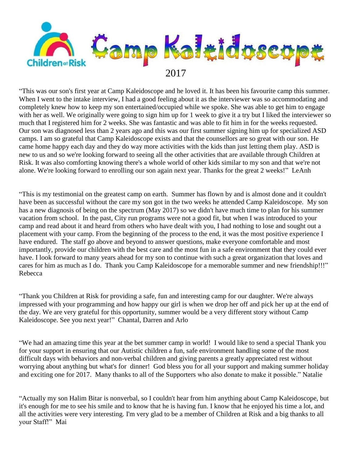

"This was our son's first year at Camp Kaleidoscope and he loved it. It has been his favourite camp this summer. When I went to the intake interview, I had a good feeling about it as the interviewer was so accommodating and completely knew how to keep my son entertained/occupied while we spoke. She was able to get him to engage with her as well. We originally were going to sign him up for 1 week to give it a try but I liked the interviewer so much that I registered him for 2 weeks. She was fantastic and was able to fit him in for the weeks requested. Our son was diagnosed less than 2 years ago and this was our first summer signing him up for specialized ASD camps. I am so grateful that Camp Kaleidoscope exists and that the counsellors are so great with our son. He came home happy each day and they do way more activities with the kids than just letting them play. ASD is new to us and so we're looking forward to seeing all the other activities that are available through Children at Risk. It was also comforting knowing there's a whole world of other kids similar to my son and that we're not alone. We're looking forward to enrolling our son again next year. Thanks for the great 2 weeks!" LeAnh

"This is my testimonial on the greatest camp on earth. Summer has flown by and is almost done and it couldn't have been as successful without the care my son got in the two weeks he attended Camp Kaleidoscope. My son has a new diagnosis of being on the spectrum (May 2017) so we didn't have much time to plan for his summer vacation from school. In the past, City run programs were not a good fit, but when I was introduced to your camp and read about it and heard from others who have dealt with you, I had nothing to lose and sought out a placement with your camp. From the beginning of the process to the end, it was the most positive experience I have endured. The staff go above and beyond to answer questions, make everyone comfortable and most importantly, provide our children with the best care and the most fun in a safe environment that they could ever have. I look forward to many years ahead for my son to continue with such a great organization that loves and cares for him as much as I do. Thank you Camp Kaleidoscope for a memorable summer and new friendship!!!" Rebecca

"Thank you Children at Risk for providing a safe, fun and interesting camp for our daughter. We're always impressed with your programming and how happy our girl is when we drop her off and pick her up at the end of the day. We are very grateful for this opportunity, summer would be a very different story without Camp Kaleidoscope. See you next year!" Chantal, Darren and Arlo

"We had an amazing time this year at the bet summer camp in world! I would like to send a special Thank you for your support in ensuring that our Autistic children a fun, safe environment handling some of the most difficult days with behaviors and non-verbal children and giving parents a greatly appreciated rest without worrying about anything but what's for dinner! God bless you for all your support and making summer holiday and exciting one for 2017. Many thanks to all of the Supporters who also donate to make it possible." Natalie

"Actually my son Halim Bitar is nonverbal, so I couldn't hear from him anything about Camp Kaleidoscope, but it's enough for me to see his smile and to know that he is having fun. I know that he enjoyed his time a lot, and all the activities were very interesting. I'm very glad to be a member of Children at Risk and a big thanks to all your Staff!" Mai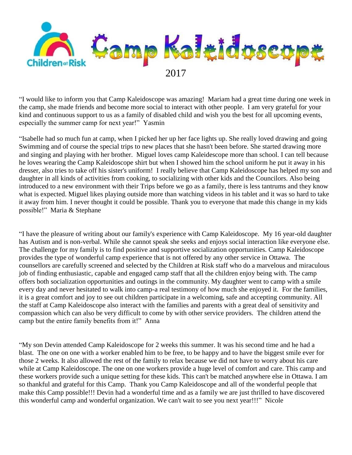

"I would like to inform you that Camp Kaleidoscope was amazing! Mariam had a great time during one week in the camp, she made friends and become more social to interact with other people. I am very grateful for your kind and continuous support to us as a family of disabled child and wish you the best for all upcoming events, especially the summer camp for next year!" Yasmin

"Isabelle had so much fun at camp, when I picked her up her face lights up. She really loved drawing and going Swimming and of course the special trips to new places that she hasn't been before. She started drawing more and singing and playing with her brother. Miguel loves camp Kaleidescope more than school. I can tell because he loves wearing the Camp Kaleidoscope shirt but when I showed him the school uniform he put it away in his dresser, also tries to take off his sister's uniform! I really believe that Camp Kaleidoscope has helped my son and daughter in all kinds of activities from cooking, to socializing with other kids and the Councilors. Also being introduced to a new environment with their Trips before we go as a family, there is less tantrums and they know what is expected. Miguel likes playing outside more than watching videos in his tablet and it was so hard to take it away from him. I never thought it could be possible. Thank you to everyone that made this change in my kids possible!" Maria & Stephane

"I have the pleasure of writing about our family's experience with Camp Kaleidoscope. My 16 year-old daughter has Autism and is non-verbal. While she cannot speak she seeks and enjoys social interaction like everyone else. The challenge for my family is to find positive and supportive socialization opportunities. Camp Kaleidoscope provides the type of wonderful camp experience that is not offered by any other service in Ottawa. The counsellors are carefully screened and selected by the Children at Risk staff who do a marvelous and miraculous job of finding enthusiastic, capable and engaged camp staff that all the children enjoy being with. The camp offers both socialization opportunities and outings in the community. My daughter went to camp with a smile every day and never hesitated to walk into camp-a real testimony of how much she enjoyed it. For the families, it is a great comfort and joy to see out children participate in a welcoming, safe and accepting community. All the staff at Camp Kaleidoscope also interact with the families and parents with a great deal of sensitivity and compassion which can also be very difficult to come by with other service providers. The children attend the camp but the entire family benefits from it!" Anna

"My son Devin attended Camp Kaleidoscope for 2 weeks this summer. It was his second time and he had a blast. The one on one with a worker enabled him to be free, to be happy and to have the biggest smile ever for those 2 weeks. It also allowed the rest of the family to relax because we did not have to worry about his care while at Camp Kaleidoscope. The one on one workers provide a huge level of comfort and care. This camp and these workers provide such a unique setting for these kids. This can't be matched anywhere else in Ottawa. I am so thankful and grateful for this Camp. Thank you Camp Kaleidoscope and all of the wonderful people that make this Camp possible!!! Devin had a wonderful time and as a family we are just thrilled to have discovered this wonderful camp and wonderful organization. We can't wait to see you next year!!!" Nicole